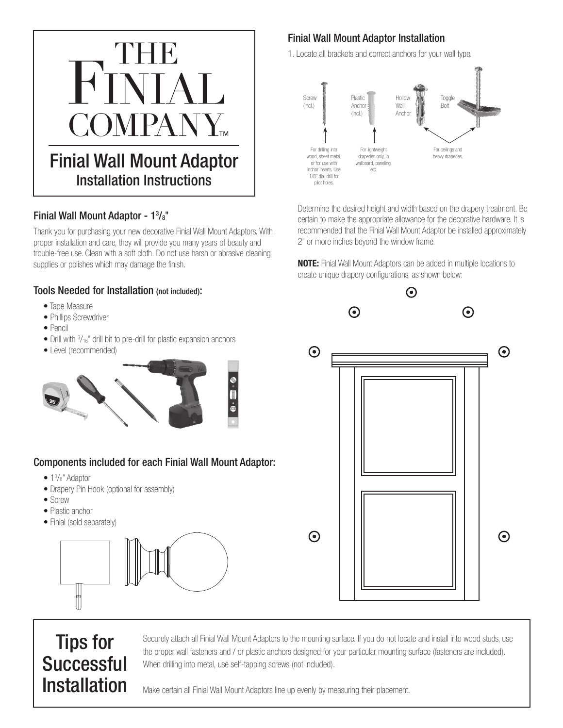

#### Finial Wall Mount Adaptor - 1<sup>3</sup>/<sub>8</sub>"

Thank you for purchasing your new decorative Finial Wall Mount Adaptors. With proper installation and care, they will provide you many years of beauty and trouble-free use. Clean with a soft cloth. Do not use harsh or abrasive cleaning supplies or polishes which may damage the finish.

#### Tools Needed for Installation (not included):

- Tape Measure
- Phillips Screwdriver
- Pencil
- Drill with  $\frac{3}{16}$ " drill bit to pre-drill for plastic expansion anchors
- Level (recommended)



### Components included for each Finial Wall Mount Adaptor:

- 1<sup>3</sup>/<sub>8</sub>" Adaptor
- Drapery Pin Hook (optional for assembly)
- Screw
- Plastic anchor
- Finial (sold separately)



## Finial Wall Mount Adaptor Installation

1. Locate all brackets and correct anchors for your wall type.



Determine the desired height and width based on the drapery treatment. Be certain to make the appropriate allowance for the decorative hardware. It is recommended that the Finial Wall Mount Adaptor be installed approximately 2" or more inches beyond the window frame.

NOTE: Finial Wall Mount Adaptors can be added in multiple locations to create unique drapery configurations, as shown below:



# Tips for **Successful** Installation

Securely attach all Finial Wall Mount Adaptors to the mounting surface. If you do not locate and install into wood studs, use the proper wall fasteners and / or plastic anchors designed for your particular mounting surface (fasteners are included). When drilling into metal, use self-tapping screws (not included).

Make certain all Finial Wall Mount Adaptors line up evenly by measuring their placement.